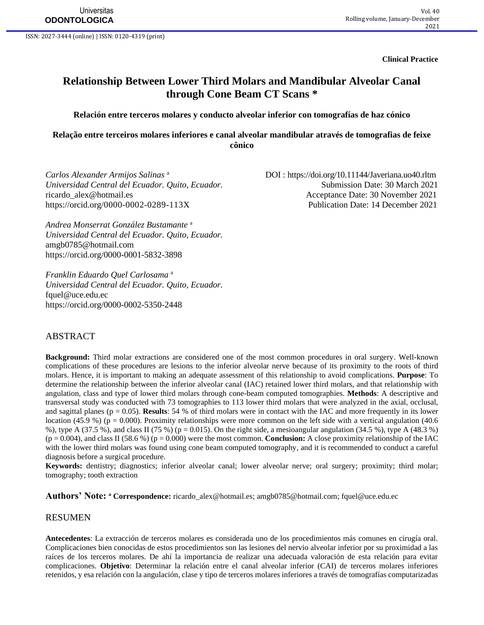**Clinical Practice**

# **Relationship Between Lower Third Molars and Mandibular Alveolar Canal through Cone Beam CT Scans \***

#### **Relación entre terceros molares y conducto alveolar inferior con tomografías de haz cónico**

**Relação entre terceiros molares inferiores e canal alveolar mandibular através de tomografias de feixe cônico**

*Carlos Alexander Armijos Salinas* <sup>a</sup> *Universidad Central del Ecuador. Quito, Ecuador.* Submission Date: 30 March 2021 [ricardo\\_alex@hotmail.es](mailto:ricardo_alex@hotmail.es) Acceptance Date: 30 November 2021 <https://orcid.org/0000-0002-0289-113X> Publication Date: 14 December 2021

DOI : <https://doi.org/10.11144/Javeriana.uo40.rltm>

*Andrea Monserrat González Bustamante* <sup>a</sup> *Universidad Central del Ecuador. Quito, Ecuador.*  [amgb0785@hotmail.com](mailto:amgb0785@hotmail.com) <https://orcid.org/0000-0001-5832-3898>

*Franklin Eduardo Quel Carlosama* <sup>a</sup> *Universidad Central del Ecuador. Quito, Ecuador.*  [fquel@uce.edu.ec](mailto:fquel@uce.edu.ec) <https://orcid.org/0000-0002-5350-2448>

#### ABSTRACT

**Background:** Third molar extractions are considered one of the most common procedures in oral surgery. Well-known complications of these procedures are lesions to the inferior alveolar nerve because of its proximity to the roots of third molars. Hence, it is important to making an adequate assessment of this relationship to avoid complications. **Purpose**: To determine the relationship between the inferior alveolar canal (IAC) retained lower third molars, and that relationship with angulation, class and type of lower third molars through cone-beam computed tomographies. **Methods**: A descriptive and transversal study was conducted with 73 tomographies to 113 lower third molars that were analyzed in the axial, occlusal, and sagittal planes ( $p = 0.05$ ). **Results**: 54 % of third molars were in contact with the IAC and more frequently in its lower location (45.9 %) ( $p = 0.000$ ). Proximity relationships were more common on the left side with a vertical angulation (40.6 %), type A (37.5 %), and class II (75 %) (p = 0.015). On the right side, a mesioangular angulation (34.5 %), type A (48.3 %)  $(p = 0.004)$ , and class II (58.6 %)  $(p = 0.000)$  were the most common. **Conclusion:** A close proximity relationship of the IAC with the lower third molars was found using cone beam computed tomography, and it is recommended to conduct a careful diagnosis before a surgical procedure.

**Keywords:** dentistry; diagnostics; inferior alveolar canal; lower alveolar nerve; oral surgery; proximity; third molar; tomography; tooth extraction

**Authors' Note: <sup>a</sup> Correspondence:** [ricardo\\_alex@hotmail.es;](mailto:ricardo_alex@hotmail.es) [amgb0785@hotmail.com;](mailto:amgb0785@hotmail.com) [fquel@uce.edu.ec](mailto:fquel@uce.edu.ec)

#### RESUMEN

**Antecedentes**: La extracción de terceros molares es considerada uno de los procedimientos más comunes en cirugía oral. Complicaciones bien conocidas de estos procedimientos son las lesiones del nervio alveolar inferior por su proximidad a las raíces de los terceros molares. De ahí la importancia de realizar una adecuada valoración de esta relación para evitar complicaciones. **Objetivo**: Determinar la relación entre el canal alveolar inferior (CAI) de terceros molares inferiores retenidos, y esa relación con la angulación, clase y tipo de terceros molares inferiores a través de tomografías computarizadas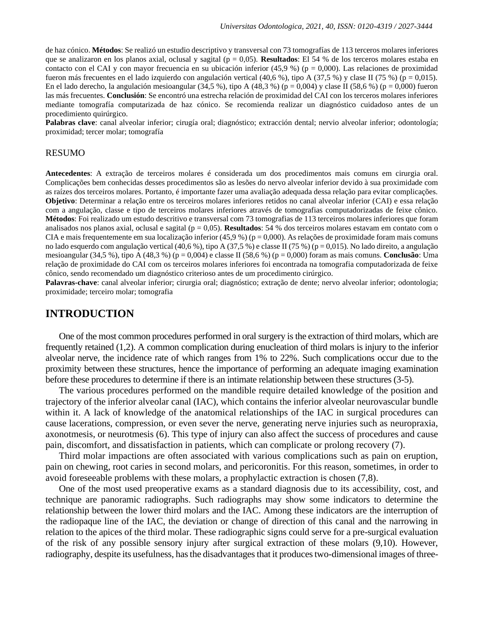de haz cónico. **Métodos**: Se realizó un estudio descriptivo y transversal con 73 tomografías de 113 terceros molares inferiores que se analizaron en los planos axial, oclusal y sagital (p = 0,05). **Resultados**: El 54 % de los terceros molares estaba en contacto con el CAI y con mayor frecuencia en su ubicación inferior (45,9 %) ( $p = 0,000$ ). Las relaciones de proximidad fueron más frecuentes en el lado izquierdo con angulación vertical (40,6 %), tipo A (37,5 %) y clase II (75 %) (p = 0,015). En el lado derecho, la angulación mesioangular (34,5 %), tipo A (48,3 %) (p = 0,004) y clase II (58,6 %) (p = 0,000) fueron las más frecuentes. **Conclusión**: Se encontró una estrecha relación de proximidad del CAI con los terceros molares inferiores mediante tomografía computarizada de haz cónico. Se recomienda realizar un diagnóstico cuidadoso antes de un procedimiento quirúrgico.

**Palabras clave**: canal alveolar inferior; cirugía oral; diagnóstico; extracción dental; nervio alveolar inferior; odontología; proximidad; tercer molar; tomografía

#### RESUMO

**Antecedentes**: A extração de terceiros molares é considerada um dos procedimentos mais comuns em cirurgia oral. Complicações bem conhecidas desses procedimentos são as lesões do nervo alveolar inferior devido à sua proximidade com as raízes dos terceiros molares. Portanto, é importante fazer uma avaliação adequada dessa relação para evitar complicações. **Objetivo**: Determinar a relação entre os terceiros molares inferiores retidos no canal alveolar inferior (CAI) e essa relação com a angulação, classe e tipo de terceiros molares inferiores através de tomografias computadorizadas de feixe cônico. **Métodos**: Foi realizado um estudo descritivo e transversal com 73 tomografias de 113 terceiros molares inferiores que foram analisados nos planos axial, oclusal e sagital (p = 0,05). **Resultados**: 54 % dos terceiros molares estavam em contato com o CIA e mais frequentemente em sua localização inferior (45,9 %) ( $p = 0,000$ ). As relações de proximidade foram mais comuns no lado esquerdo com angulação vertical (40,6 %), tipo A (37,5 %) e classe II (75 %) (p = 0,015). No lado direito, a angulação mesioangular (34,5 %), tipo A (48,3 %) (p = 0,004) e classe II (58,6 %) (p = 0,000) foram as mais comuns. **Conclusão**: Uma relação de proximidade do CAI com os terceiros molares inferiores foi encontrada na tomografia computadorizada de feixe cônico, sendo recomendado um diagnóstico criterioso antes de um procedimento cirúrgico.

**Palavras-chave**: canal alveolar inferior; cirurgia oral; diagnóstico; extração de dente; nervo alveolar inferior; odontologia; proximidade; terceiro molar; tomografia

### **INTRODUCTION**

One of the most common procedures performed in oral surgery is the extraction of third molars, which are frequently retained (1,2). A common complication during enucleation of third molars is injury to the inferior alveolar nerve, the incidence rate of which ranges from 1% to 22%. Such complications occur due to the proximity between these structures, hence the importance of performing an adequate imaging examination before these procedures to determine if there is an intimate relationship between these structures (3-5).

The various procedures performed on the mandible require detailed knowledge of the position and trajectory of the inferior alveolar canal (IAC), which contains the inferior alveolar neurovascular bundle within it. A lack of knowledge of the anatomical relationships of the IAC in surgical procedures can cause lacerations, compression, or even sever the nerve, generating nerve injuries such as neuropraxia, axonotmesis, or neurotmesis (6). This type of injury can also affect the success of procedures and cause pain, discomfort, and dissatisfaction in patients, which can complicate or prolong recovery (7).

Third molar impactions are often associated with various complications such as pain on eruption, pain on chewing, root caries in second molars, and pericoronitis. For this reason, sometimes, in order to avoid foreseeable problems with these molars, a prophylactic extraction is chosen (7,8).

One of the most used preoperative exams as a standard diagnosis due to its accessibility, cost, and technique are panoramic radiographs. Such radiographs may show some indicators to determine the relationship between the lower third molars and the IAC. Among these indicators are the interruption of the radiopaque line of the IAC, the deviation or change of direction of this canal and the narrowing in relation to the apices of the third molar. These radiographic signs could serve for a pre-surgical evaluation of the risk of any possible sensory injury after surgical extraction of these molars (9,10). However, radiography, despite its usefulness, has the disadvantages that it produces two-dimensional images of three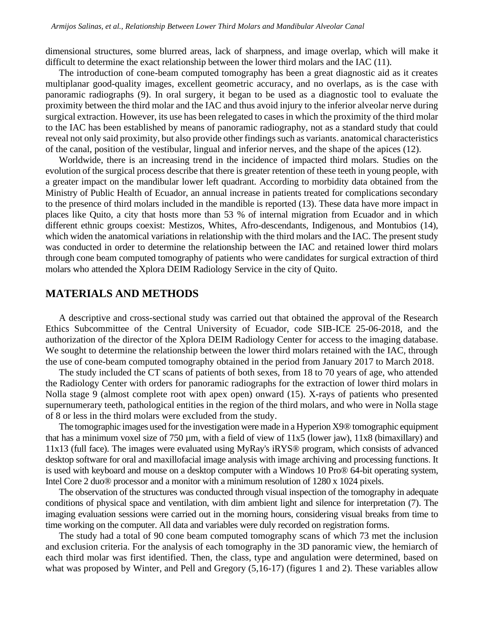dimensional structures, some blurred areas, lack of sharpness, and image overlap, which will make it difficult to determine the exact relationship between the lower third molars and the IAC (11).

The introduction of cone-beam computed tomography has been a great diagnostic aid as it creates multiplanar good-quality images, excellent geometric accuracy, and no overlaps, as is the case with panoramic radiographs (9). In oral surgery, it began to be used as a diagnostic tool to evaluate the proximity between the third molar and the IAC and thus avoid injury to the inferior alveolar nerve during surgical extraction. However, its use has been relegated to cases in which the proximity of the third molar to the IAC has been established by means of panoramic radiography, not as a standard study that could reveal not only said proximity, but also provide other findings such as variants. anatomical characteristics of the canal, position of the vestibular, lingual and inferior nerves, and the shape of the apices (12).

Worldwide, there is an increasing trend in the incidence of impacted third molars. Studies on the evolution of the surgical process describe that there is greater retention of these teeth in young people, with a greater impact on the mandibular lower left quadrant. According to morbidity data obtained from the Ministry of Public Health of Ecuador, an annual increase in patients treated for complications secondary to the presence of third molars included in the mandible is reported (13). These data have more impact in places like Quito, a city that hosts more than 53 % of internal migration from Ecuador and in which different ethnic groups coexist: Mestizos, Whites, Afro-descendants, Indigenous, and Montubios (14), which widen the anatomical variations in relationship with the third molars and the IAC. The present study was conducted in order to determine the relationship between the IAC and retained lower third molars through cone beam computed tomography of patients who were candidates for surgical extraction of third molars who attended the Xplora DEIM Radiology Service in the city of Quito.

### **MATERIALS AND METHODS**

A descriptive and cross-sectional study was carried out that obtained the approval of the Research Ethics Subcommittee of the Central University of Ecuador, code SIB-ICE 25-06-2018, and the authorization of the director of the Xplora DEIM Radiology Center for access to the imaging database. We sought to determine the relationship between the lower third molars retained with the IAC, through the use of cone-beam computed tomography obtained in the period from January 2017 to March 2018.

The study included the CT scans of patients of both sexes, from 18 to 70 years of age, who attended the Radiology Center with orders for panoramic radiographs for the extraction of lower third molars in Nolla stage 9 (almost complete root with apex open) onward (15). X-rays of patients who presented supernumerary teeth, pathological entities in the region of the third molars, and who were in Nolla stage of 8 or less in the third molars were excluded from the study.

The tomographic images used for the investigation were made in a Hyperion X9® tomographic equipment that has a minimum voxel size of 750  $\mu$ m, with a field of view of 11x5 (lower jaw), 11x8 (bimaxillary) and 11x13 (full face). The images were evaluated using MyRay's iRYS® program, which consists of advanced desktop software for oral and maxillofacial image analysis with image archiving and processing functions. It is used with keyboard and mouse on a desktop computer with a Windows 10 Pro® 64-bit operating system, Intel Core 2 duo® processor and a monitor with a minimum resolution of 1280 x 1024 pixels.

The observation of the structures was conducted through visual inspection of the tomography in adequate conditions of physical space and ventilation, with dim ambient light and silence for interpretation (7). The imaging evaluation sessions were carried out in the morning hours, considering visual breaks from time to time working on the computer. All data and variables were duly recorded on registration forms.

The study had a total of 90 cone beam computed tomography scans of which 73 met the inclusion and exclusion criteria. For the analysis of each tomography in the 3D panoramic view, the hemiarch of each third molar was first identified. Then, the class, type and angulation were determined, based on what was proposed by Winter, and Pell and Gregory (5,16-17) (figures 1 and 2). These variables allow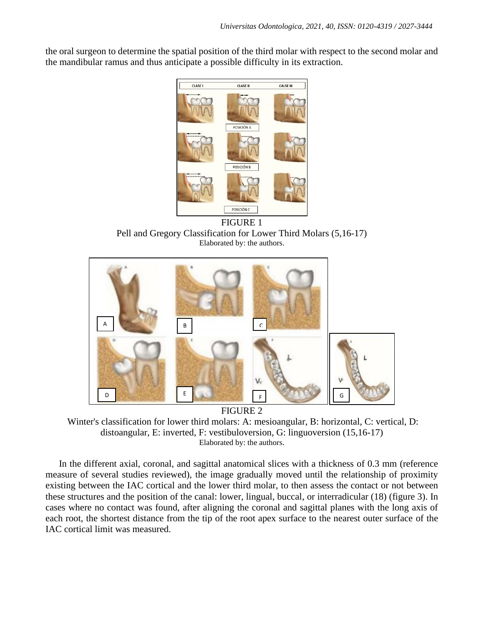the oral surgeon to determine the spatial position of the third molar with respect to the second molar and the mandibular ramus and thus anticipate a possible difficulty in its extraction.



FIGURE 1 Pell and Gregory Classification for Lower Third Molars (5,16-17) Elaborated by: the authors.



Winter's classification for lower third molars: A: mesioangular, B: horizontal, C: vertical, D: distoangular, E: inverted, F: vestibuloversion, G: linguoversion (15,16-17) Elaborated by: the authors.

In the different axial, coronal, and sagittal anatomical slices with a thickness of 0.3 mm (reference measure of several studies reviewed), the image gradually moved until the relationship of proximity existing between the IAC cortical and the lower third molar, to then assess the contact or not between these structures and the position of the canal: lower, lingual, buccal, or interradicular (18) (figure 3). In cases where no contact was found, after aligning the coronal and sagittal planes with the long axis of each root, the shortest distance from the tip of the root apex surface to the nearest outer surface of the IAC cortical limit was measured.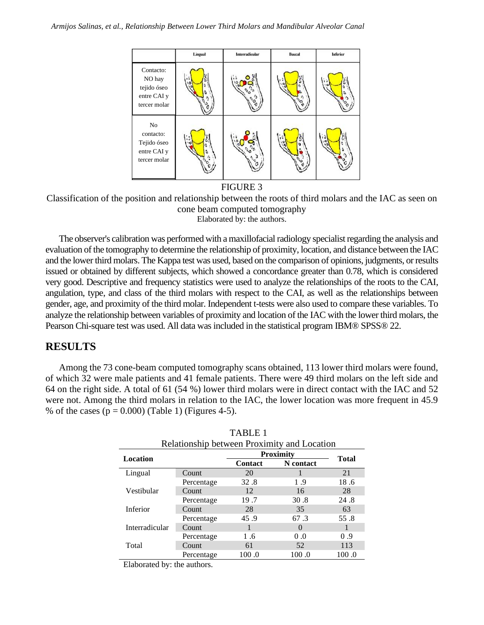

FIGURE 3

Classification of the position and relationship between the roots of third molars and the IAC as seen on cone beam computed tomography Elaborated by: the authors.

The observer's calibration was performed with a maxillofacial radiology specialist regarding the analysis and evaluation of the tomography to determine the relationship of proximity, location, and distance between the IAC and the lower third molars. The Kappa test was used, based on the comparison of opinions, judgments, or results issued or obtained by different subjects, which showed a concordance greater than 0.78, which is considered very good. Descriptive and frequency statistics were used to analyze the relationships of the roots to the CAI, angulation, type, and class of the third molars with respect to the CAI, as well as the relationships between gender, age, and proximity of the third molar. Independent t-tests were also used to compare these variables. To analyze the relationship between variables of proximity and location of the IAC with the lower third molars, the Pearson Chi-square test was used. All data was included in the statistical program IBM® SPSS® 22.

## **RESULTS**

Among the 73 cone-beam computed tomography scans obtained, 113 lower third molars were found, of which 32 were male patients and 41 female patients. There were 49 third molars on the left side and 64 on the right side. A total of 61 (54 %) lower third molars were in direct contact with the IAC and 52 were not. Among the third molars in relation to the IAC, the lower location was more frequent in 45.9 % of the cases ( $p = 0.000$ ) (Table 1) (Figures 4-5).

| Relationship between Proximity and Location |              |                  |                   |              |  |
|---------------------------------------------|--------------|------------------|-------------------|--------------|--|
| Location                                    |              | <b>Proximity</b> |                   | <b>Total</b> |  |
|                                             |              | <b>Contact</b>   | N contact         |              |  |
| Lingual                                     | <b>Count</b> | 20               |                   | 21           |  |
|                                             | Percentage   | 32.8             | 1.9               | 18.6         |  |
| Vestibular                                  | <b>Count</b> | 12               | 16                | 28           |  |
|                                             | Percentage   | 19.7             | 30.8              | 24.8         |  |
| Inferior                                    | Count        | 28               | 35                | 63           |  |
|                                             | Percentage   | 45.9             | 67.3              | 55.8         |  |
| Interradicular                              | <b>Count</b> |                  | $\mathbf{\Omega}$ |              |  |
|                                             | Percentage   | 1.6              | 0.0               | 0.9          |  |
| Total                                       | <b>Count</b> | 61               | 52                | 113          |  |
|                                             | Percentage   | 100.0            | 100.0             | 100.0        |  |

|  | <b>TABLE 1</b> |  |
|--|----------------|--|
|  |                |  |

Elaborated by: the authors.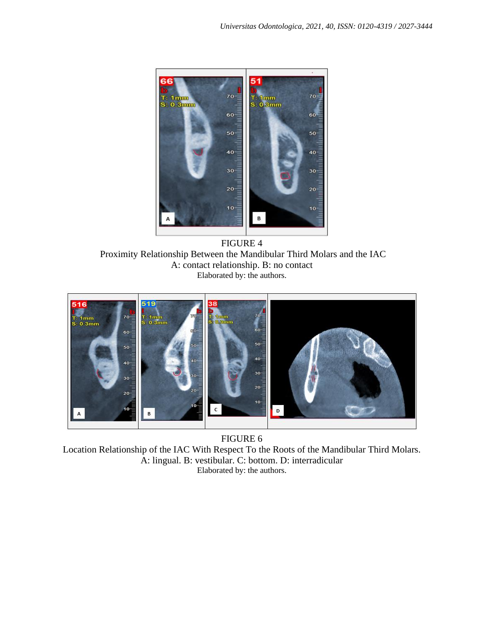

FIGURE 4 Proximity Relationship Between the Mandibular Third Molars and the IAC A: contact relationship. B: no contact Elaborated by: the authors.



FIGURE 6 Location Relationship of the IAC With Respect To the Roots of the Mandibular Third Molars. A: lingual. B: vestibular. C: bottom. D: interradicular Elaborated by: the authors.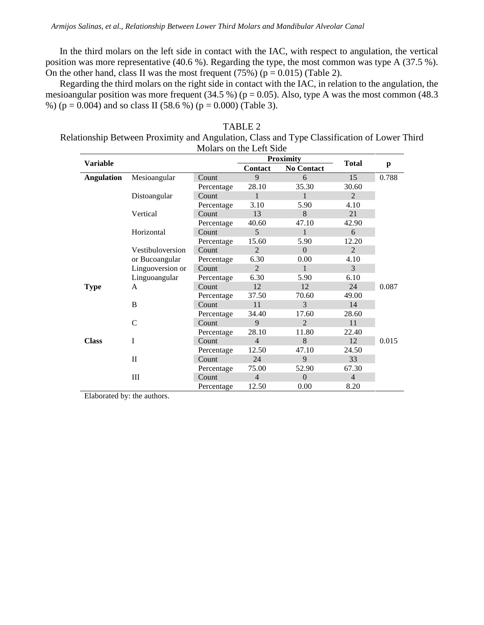In the third molars on the left side in contact with the IAC, with respect to angulation, the vertical position was more representative (40.6 %). Regarding the type, the most common was type A (37.5 %). On the other hand, class II was the most frequent  $(75%)$  (p = 0.015) (Table 2).

Regarding the third molars on the right side in contact with the IAC, in relation to the angulation, the mesioangular position was more frequent (34.5 %) ( $p = 0.05$ ). Also, type A was the most common (48.3 %) ( $p = 0.004$ ) and so class II (58.6 %) ( $p = 0.000$ ) (Table 3).

TABLE 2 Relationship Between Proximity and Angulation, Class and Type Classification of Lower Third Molars on the Left Side

|                   |                  |            | <b>Proximity</b> |                   |                |       |
|-------------------|------------------|------------|------------------|-------------------|----------------|-------|
| <b>Variable</b>   |                  |            | <b>Contact</b>   | <b>No Contact</b> | <b>Total</b>   | p     |
| <b>Angulation</b> | Mesioangular     | Count      | 9                | 6                 | 15             | 0.788 |
|                   |                  | Percentage | 28.10            | 35.30             | 30.60          |       |
|                   | Distoangular     | Count      | 1                | $\mathbf{1}$      | $\mathfrak{D}$ |       |
|                   |                  | Percentage | 3.10             | 5.90              | 4.10           |       |
|                   | Vertical         | Count      | 13               | 8                 | 21             |       |
|                   |                  | Percentage | 40.60            | 47.10             | 42.90          |       |
|                   | Horizontal       | Count      | 5                | 1                 | 6              |       |
|                   |                  | Percentage | 15.60            | 5.90              | 12.20          |       |
|                   | Vestibuloversion | Count      | $\mathfrak{D}$   | $\Omega$          | $\mathcal{L}$  |       |
|                   | or Bucoangular   | Percentage | 6.30             | 0.00              | 4.10           |       |
|                   | Linguoversion or | Count      | $\overline{2}$   | 1                 | 3              |       |
|                   | Linguoangular    | Percentage | 6.30             | 5.90              | 6.10           |       |
| <b>Type</b>       | A                | Count      | 12               | 12                | 24             | 0.087 |
|                   |                  | Percentage | 37.50            | 70.60             | 49.00          |       |
|                   | B                | Count      | 11               | $\mathcal{F}$     | 14             |       |
|                   |                  | Percentage | 34.40            | 17.60             | 28.60          |       |
|                   | C                | Count      | 9                | $\mathcal{L}$     | 11             |       |
|                   |                  | Percentage | 28.10            | 11.80             | 22.40          |       |
| <b>Class</b>      | I                | Count      | $\overline{4}$   | 8                 | 12             | 0.015 |
|                   |                  | Percentage | 12.50            | 47.10             | 24.50          |       |
|                   | $\mathbf{I}$     | Count      | 24               | $\mathbf{Q}$      | 33             |       |
|                   |                  | Percentage | 75.00            | 52.90             | 67.30          |       |
|                   | III              | Count      | $\overline{4}$   | $\Omega$          | $\overline{4}$ |       |
|                   |                  | Percentage | 12.50            | 0.00              | 8.20           |       |

Elaborated by: the authors.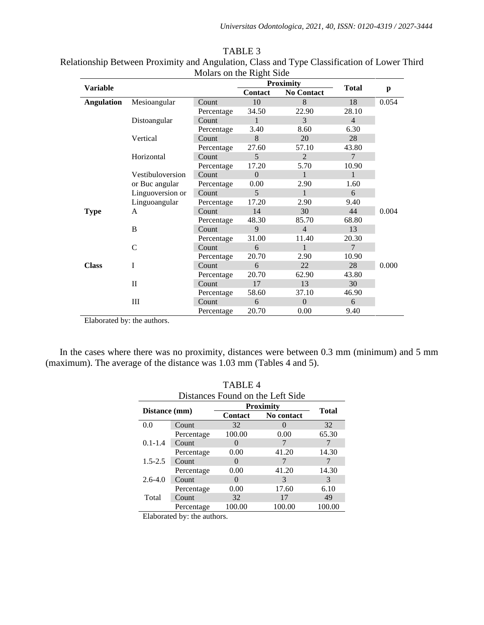| <b>Variable</b>   |                  |            | <b>Proximity</b> |                   | <b>Total</b>   |       |
|-------------------|------------------|------------|------------------|-------------------|----------------|-------|
|                   |                  |            | <b>Contact</b>   | <b>No Contact</b> |                | p     |
| <b>Angulation</b> | Mesioangular     | Count      | 10               | 8                 | 18             | 0.054 |
|                   |                  | Percentage | 34.50            | 22.90             | 28.10          |       |
|                   | Distoangular     | Count      | 1                | $\mathcal{E}$     | $\overline{4}$ |       |
|                   |                  | Percentage | 3.40             | 8.60              | 6.30           |       |
|                   | Vertical         | Count      | 8                | 20                | 28             |       |
|                   |                  | Percentage | 27.60            | 57.10             | 43.80          |       |
|                   | Horizontal       | Count      | 5                | $\mathfrak{D}$    | $\tau$         |       |
|                   |                  | Percentage | 17.20            | 5.70              | 10.90          |       |
|                   | Vestibuloversion | Count      | $\Omega$         | $\mathbf{1}$      | $\mathbf{1}$   |       |
|                   | or Buc angular   | Percentage | 0.00             | 2.90              | 1.60           |       |
|                   | Linguoversion or | Count      | $\overline{5}$   | $\mathbf{1}$      | 6              |       |
|                   | Linguoangular    | Percentage | 17.20            | 2.90              | 9.40           |       |
| <b>Type</b>       | A                | Count      | 14               | 30                | 44             | 0.004 |
|                   |                  | Percentage | 48.30            | 85.70             | 68.80          |       |
|                   | B                | Count      | 9                | $\overline{4}$    | 13             |       |
|                   |                  | Percentage | 31.00            | 11.40             | 20.30          |       |
|                   | $\mathcal{C}$    | Count      | 6                | 1                 | $\tau$         |       |
|                   |                  | Percentage | 20.70            | 2.90              | 10.90          |       |
| <b>Class</b>      | I                | Count      | 6                | 22                | 28             | 0.000 |
|                   |                  | Percentage | 20.70            | 62.90             | 43.80          |       |
|                   | $\mathbf{H}$     | Count      | 17               | 13                | 30             |       |
|                   |                  | Percentage | 58.60            | 37.10             | 46.90          |       |
|                   | Ш                | Count      | 6                | $\Omega$          | 6              |       |
|                   |                  | Percentage | 20.70            | 0.00              | 9.40           |       |

TABLE 3 Relationship Between Proximity and Angulation, Class and Type Classification of Lower Third Molars on the Right Side

Elaborated by: the authors.

In the cases where there was no proximity, distances were between 0.3 mm (minimum) and 5 mm (maximum). The average of the distance was 1.03 mm (Tables 4 and 5).

| <b>TABLE 4</b>                   |                 |                   |              |        |  |
|----------------------------------|-----------------|-------------------|--------------|--------|--|
| Distances Found on the Left Side |                 |                   |              |        |  |
| Distance (mm)                    |                 | <b>Proximity</b>  | <b>Total</b> |        |  |
|                                  |                 | <b>Contact</b>    | No contact   |        |  |
| 0.0                              | Count           | 32                |              | 32     |  |
|                                  | Percentage      | 100.00            | 0.00         | 65.30  |  |
| $0.1 - 1.4$                      | Count           |                   |              |        |  |
|                                  | Percentage      | 0.00              | 41.20        | 14.30  |  |
| $1.5 - 2.5$                      | Count           | $\mathbf{\Omega}$ |              |        |  |
|                                  | Percentage      | 0.00              | 41.20        | 14.30  |  |
| $2.6 - 4.0$                      | Count           | 0                 | 3            | 3      |  |
|                                  | Percentage      | 0.00              | 17.60        | 6.10   |  |
| Total                            | Count           | 32                | 17           | 49     |  |
|                                  | Percentage      | 100.00            | 100.00       | 100.00 |  |
| $-1$                             | $\cdot$ $\cdot$ |                   |              |        |  |

Elaborated by: the authors.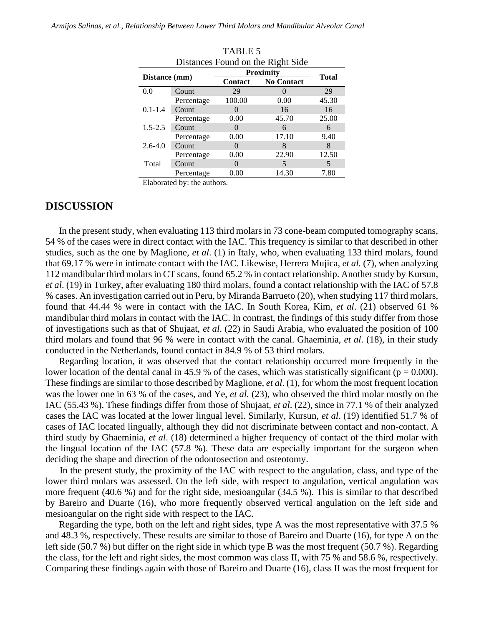*Armijos Salinas, et al., Relationship Between Lower Third Molars and Mandibular Alveolar Canal*

| LADLE J       |                                   |                   |                   |       |  |  |
|---------------|-----------------------------------|-------------------|-------------------|-------|--|--|
|               | Distances Found on the Right Side |                   |                   |       |  |  |
| Distance (mm) |                                   | <b>Proximity</b>  | <b>Total</b>      |       |  |  |
|               |                                   | <b>Contact</b>    | <b>No Contact</b> |       |  |  |
| 0.0           | Count                             | 29                |                   | 29    |  |  |
|               | Percentage                        | 100.00            | 0.00              | 45.30 |  |  |
| $0.1 - 1.4$   | Count                             | $\mathbf{\Omega}$ | 16                | 16    |  |  |
|               | Percentage                        | 0.00              | 45.70             | 25.00 |  |  |
| $1.5 - 2.5$   | Count                             | $\Omega$          | 6                 | 6     |  |  |
|               | Percentage                        | 0.00              | 17.10             | 9.40  |  |  |
| $2.6 - 4.0$   | Count                             | $\mathbf{0}$      | 8                 | 8     |  |  |
|               | Percentage                        | 0.00              | 22.90             | 12.50 |  |  |
| Total         | Count                             | $\mathbf{\Omega}$ | 5                 | 5     |  |  |
|               | Percentage                        | 0.00              | 14.30             | 7.80  |  |  |

 $TATE$ 

Elaborated by: the authors.

### **DISCUSSION**

In the present study, when evaluating 113 third molars in 73 cone-beam computed tomography scans, 54 % of the cases were in direct contact with the IAC. This frequency is similar to that described in other studies, such as the one by Maglione, *et al*. (1) in Italy, who, when evaluating 133 third molars, found that 69.17 % were in intimate contact with the IAC. Likewise, Herrera Mujica, *et al.* (7), when analyzing 112 mandibular third molars in CT scans, found 65.2 % in contact relationship. Another study by Kursun, *et al*. (19) in Turkey, after evaluating 180 third molars, found a contact relationship with the IAC of 57.8 % cases. An investigation carried out in Peru, by Miranda Barrueto (20), when studying 117 third molars, found that 44.44 % were in contact with the IAC. In South Korea, Kim, *et al*. (21) observed 61 % mandibular third molars in contact with the IAC. In contrast, the findings of this study differ from those of investigations such as that of Shujaat, *et al*. (22) in Saudi Arabia, who evaluated the position of 100 third molars and found that 96 % were in contact with the canal. Ghaeminia, *et al*. (18), in their study conducted in the Netherlands, found contact in 84.9 % of 53 third molars.

Regarding location, it was observed that the contact relationship occurred more frequently in the lower location of the dental canal in 45.9 % of the cases, which was statistically significant ( $p = 0.000$ ). These findings are similar to those described by Maglione, *et al*. (1), for whom the most frequent location was the lower one in 63 % of the cases, and Ye, *et al.* (23), who observed the third molar mostly on the IAC (55.43 %). These findings differ from those of Shujaat, *et al*. (22), since in 77.1 % of their analyzed cases the IAC was located at the lower lingual level. Similarly, Kursun, *et al*. (19) identified 51.7 % of cases of IAC located lingually, although they did not discriminate between contact and non-contact. A third study by Ghaeminia, *et al*. (18) determined a higher frequency of contact of the third molar with the lingual location of the IAC (57.8 %). These data are especially important for the surgeon when deciding the shape and direction of the odontosection and osteotomy.

In the present study, the proximity of the IAC with respect to the angulation, class, and type of the lower third molars was assessed. On the left side, with respect to angulation, vertical angulation was more frequent (40.6 %) and for the right side, mesioangular (34.5 %). This is similar to that described by Bareiro and Duarte (16), who more frequently observed vertical angulation on the left side and mesioangular on the right side with respect to the IAC.

Regarding the type, both on the left and right sides, type A was the most representative with 37.5 % and 48.3 %, respectively. These results are similar to those of Bareiro and Duarte (16), for type A on the left side (50.7 %) but differ on the right side in which type B was the most frequent (50.7 %). Regarding the class, for the left and right sides, the most common was class II, with 75 % and 58.6 %, respectively. Comparing these findings again with those of Bareiro and Duarte (16), class II was the most frequent for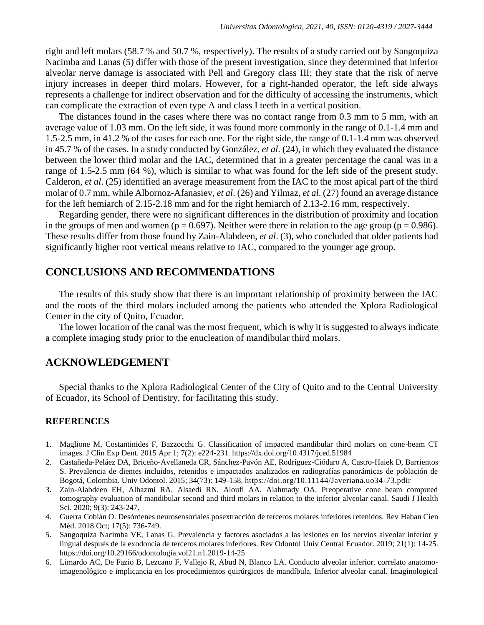right and left molars (58.7 % and 50.7 %, respectively). The results of a study carried out by Sangoquiza Nacimba and Lanas (5) differ with those of the present investigation, since they determined that inferior alveolar nerve damage is associated with Pell and Gregory class III; they state that the risk of nerve injury increases in deeper third molars. However, for a right-handed operator, the left side always represents a challenge for indirect observation and for the difficulty of accessing the instruments, which can complicate the extraction of even type A and class I teeth in a vertical position.

The distances found in the cases where there was no contact range from 0.3 mm to 5 mm, with an average value of 1.03 mm. On the left side, it was found more commonly in the range of 0.1-1.4 mm and 1.5-2.5 mm, in 41.2 % of the cases for each one. For the right side, the range of 0.1-1.4 mm was observed in 45.7 % of the cases. In a study conducted by González, *et al*. (24), in which they evaluated the distance between the lower third molar and the IAC, determined that in a greater percentage the canal was in a range of 1.5-2.5 mm (64 %), which is similar to what was found for the left side of the present study. Calderon, *et al*. (25) identified an average measurement from the IAC to the most apical part of the third molar of 0.7 mm, while Albornoz-Afanasiev, *et al*. (26) and Yilmaz, *et al*. (27) found an average distance for the left hemiarch of 2.15-2.18 mm and for the right hemiarch of 2.13-2.16 mm, respectively.

Regarding gender, there were no significant differences in the distribution of proximity and location in the groups of men and women ( $p = 0.697$ ). Neither were there in relation to the age group ( $p = 0.986$ ). These results differ from those found by Zain-Alabdeen, *et al*. (3), who concluded that older patients had significantly higher root vertical means relative to IAC, compared to the younger age group.

### **CONCLUSIONS AND RECOMMENDATIONS**

The results of this study show that there is an important relationship of proximity between the IAC and the roots of the third molars included among the patients who attended the Xplora Radiological Center in the city of Quito, Ecuador.

The lower location of the canal was the most frequent, which is why it is suggested to always indicate a complete imaging study prior to the enucleation of mandibular third molars.

## **ACKNOWLEDGEMENT**

Special thanks to the Xplora Radiological Center of the City of Quito and to the Central University of Ecuador, its School of Dentistry, for facilitating this study.

#### **REFERENCES**

- 1. Maglione M, Costantinides F, Bazzocchi G. Classification of impacted mandibular third molars on cone-beam CT images. J Clin Exp Dent. 2015 Apr 1; 7(2): e224-231[. https://dx.doi.org/10.4317/jced.51984](https://dx.doi.org/10.4317/jced.51984)
- 2. Castañeda-Peláez DA, Briceño-Avellaneda CR, Sánchez-Pavón AE, Rodríguez-Ciódaro A, Castro-Haiek D, Barrientos S. Prevalencia de dientes incluidos, retenidos e impactados analizados en radiografías panorámicas de población de Bogotá, Colombia. Univ Odontol. 2015; 34(73): 149-158. <https://doi.org/10.11144/Javeriana.uo34-73.pdir>
- 3. Zain-Alabdeen EH, Alhazmi RA, Alsaedi RN, Aloufi AA, Alahmady OA. Preoperative cone beam computed tomography evaluation of mandibular second and third molars in relation to the inferior alveolar canal. Saudi J Health Sci. 2020; 9(3): 243-247.
- 4. Guerra Cobián O. Desórdenes neurosensoriales posextracción de terceros molares inferiores retenidos. Rev Haban Cien Méd. 2018 Oct; 17(5): 736-749.
- 5. Sangoquiza Nacimba VE, Lanas G. Prevalencia y factores asociados a las lesiones en los nervios alveolar inferior y lingual después de la exodoncia de terceros molares inferiores. Rev Odontol Univ Central Ecuador. 2019; 21(1): 14-25. <https://doi.org/10.29166/odontologia.vol21.n1.2019-14-25>
- 6. Limardo AC, De Fazio B, Lezcano F, Vallejo R, Abud N, Blanco LA. Conducto alveolar inferior. correlato anatomoimagenológico e implicancia en los procedimientos quirúrgicos de mandíbula. Inferior alveolar canal. Imaginological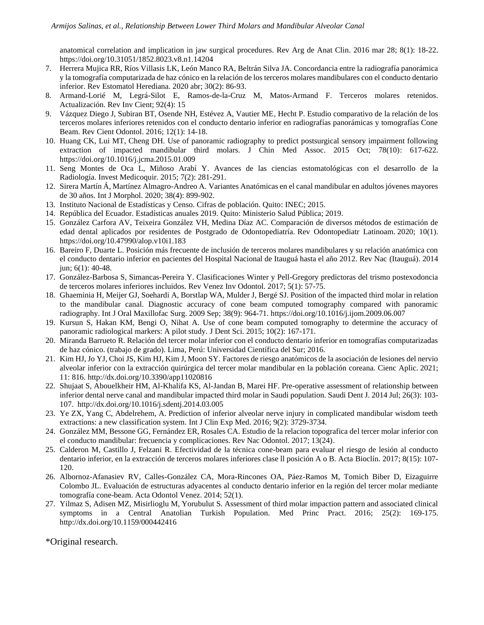anatomical correlation and implication in jaw surgical procedures. Rev Arg de Anat Clin. 2016 mar 28; 8(1): 18-22. <https://doi.org/10.31051/1852.8023.v8.n1.14204>

- 7. Herrera Mujica RR, Ríos Villasis LK, León Manco RA, Beltrán Silva JA. Concordancia entre la radiografía panorámica y la tomografía computarizada de haz cónico en la relación de los terceros molares mandibulares con el conducto dentario inferior. Rev Estomatol Herediana. 2020 abr; 30(2): 86-93.
- 8. Armand-Lorié M, Legrá-Silot E, Ramos-de-la-Cruz M, Matos-Armand F. Terceros molares retenidos. Actualización. Rev Inv Cient; 92(4): 15
- 9. Vázquez Diego J, Subiran BT, Osende NH, Estévez A, Vautier ME, Hecht P. Estudio comparativo de la relación de los terceros molares inferiores retenidos con el conducto dentario inferior en radiografías panorámicas y tomografías Cone Beam. Rev Cient Odontol. 2016; 12(1): 14-18.
- 10. Huang CK, Lui MT, Cheng DH. Use of panoramic radiography to predict postsurgical sensory impairment following extraction of impacted mandibular third molars. J Chin Med Assoc. 2015 Oct; 78(10): 617-622. <https://doi.org/10.1016/j.jcma.2015.01.009>
- 11. Seng Montes de Oca L, Miñoso Arabí Y. Avances de las ciencias estomatológicas con el desarrollo de la Radiología. Invest Medicoquir. 2015; 7(2): 281-291.
- 12. Sirera Martín Á, Martínez Almagro-Andreo A. Variantes Anatómicas en el canal mandibular en adultos jóvenes mayores de 30 años. Int J Morphol. 2020; 38(4): 899-902.
- 13. Instituto Nacional de Estadísticas y Censo. Cifras de población. Quito: INEC; 2015.
- 14. República del Ecuador. Estadísticas anuales 2019. Quito: Ministerio Salud Pública; 2019.
- 15. González Carfora AV, Teixeira González VH, Medina Díaz AC. Comparación de diversos métodos de estimación de edad dental aplicados por residentes de Postgrado de Odontopediatría. Rev Odontopediatr Latinoam. 2020; 10(1). <https://doi.org/10.47990/alop.v10i1.183>
- 16. Bareiro F, Duarte L. Posición más frecuente de inclusión de terceros molares mandibulares y su relación anatómica con el conducto dentario inferior en pacientes del Hospital Nacional de Itauguá hasta el año 2012. Rev Nac (Itauguá). 2014 jun; 6(1): 40-48.
- 17. González-Barbosa S, Simancas-Pereira Y. Clasificaciones Winter y Pell-Gregory predictoras del trismo postexodoncia de terceros molares inferiores incluidos. Rev Venez Inv Odontol. 2017; 5(1): 57-75.
- 18. Ghaeminia H, Meijer GJ, Soehardi A, Borstlap WA, Mulder J, Bergé SJ. Position of the impacted third molar in relation to the mandibular canal. Diagnostic accuracy of cone beam computed tomography compared with panoramic radiography. Int J Oral Maxillofac Surg. 2009 Sep; 38(9): 964-71[. https://doi.org/10.1016/j.ijom.2009.06.007](https://doi.org/10.1016/j.ijom.2009.06.007)
- 19. Kursun S, Hakan KM, Bengi O, Nihat A. Use of cone beam computed tomography to determine the accuracy of panoramic radiological markers: A pilot study. J Dent Sci. 2015; 10(2): 167-171.
- 20. Miranda Barrueto R. Relación del tercer molar inferior con el conducto dentario inferior en tomografías computarizadas de haz cónico. (trabajo de grado). Lima, Perú: Universidad Científica del Sur; 2016.
- 21. Kim HJ, Jo YJ, Choi JS, Kim HJ, Kim J, Moon SY. Factores de riesgo anatómicos de la asociación de lesiones del nervio alveolar inferior con la extracción quirúrgica del tercer molar mandibular en la población coreana. Cienc Aplic. 2021; 11: 816.<http://dx.doi.org/10.3390/app11020816>
- 22. Shujaat S, Abouelkheir HM, Al-Khalifa KS, Al-Jandan B, Marei HF. Pre-operative assessment of relationship between inferior dental nerve canal and mandibular impacted third molar in Saudi population. Saudi Dent J. 2014 Jul; 26(3): 103- 107. <http://dx.doi.org/10.1016/j.sdentj.2014.03.005>
- 23. Ye ZX, Yang C, Abdelrehem, A. Prediction of inferior alveolar nerve injury in complicated mandibular wisdom teeth extractions: a new classification system. Int J Clin Exp Med. 2016; 9(2): 3729-3734.
- 24. González MM, Bessone GG, Fernández ER, Rosales CA. Estudio de la relacion topografica del tercer molar inferior con el conducto mandibular: frecuencia y complicaciones. Rev Nac Odontol. 2017; 13(24).
- 25. Calderon M, Castillo J, Felzani R. Efectividad de la técnica cone-beam para evaluar el riesgo de lesión al conducto dentario inferior, en la extracción de terceros molares inferiores clase ll posición A o B. Acta Bioclín. 2017; 8(15): 107- 120.
- 26. Albornoz-Afanasiev RV, Calles-González CA, Mora-Rincones OA, Páez-Ramos M, Tomich Biber D, Eizaguirre Colombo JL. Evaluación de estructuras adyacentes al conducto dentario inferior en la región del tercer molar mediante tomografía cone-beam. Acta Odontol Venez. 2014; 52(1).
- 27. Yilmaz S, Adisen MZ, Misirlioglu M, Yorubulut S. Assessment of third molar impaction pattern and associated clinical symptoms in a Central Anatolian Turkish Population. Med Princ Pract. 2016; 25(2): 169-175. <http://dx.doi.org/10.1159/000442416>

\*Original research.